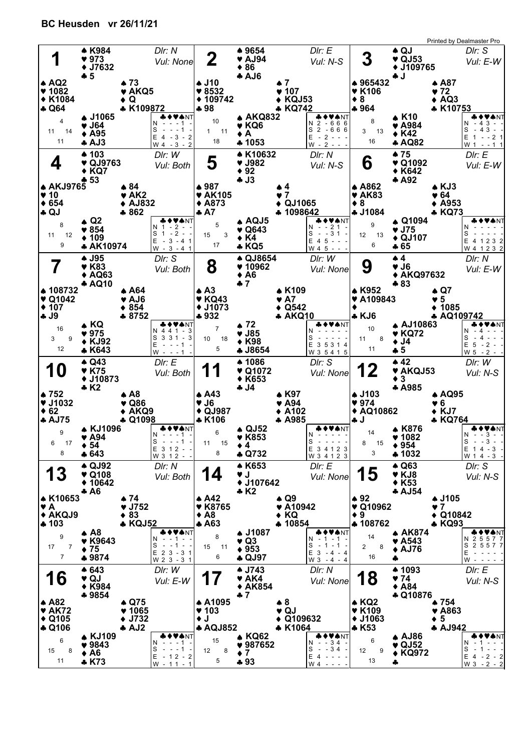|                            |                            |                              |                           |                           |                                                                                                                                                 |                           |                            | Printed by Dealmaster Pro          |
|----------------------------|----------------------------|------------------------------|---------------------------|---------------------------|-------------------------------------------------------------------------------------------------------------------------------------------------|---------------------------|----------------------------|------------------------------------|
|                            | <b>4 K984</b>              | Dlr: N                       |                           | ▲ 9654                    | DIr: E                                                                                                                                          |                           | $\triangle$ QJ             | Dir: S                             |
| 1                          | $*973$                     |                              | 2                         | $\blacktriangledown$ AJ94 |                                                                                                                                                 | 3                         | $\blacktriangledown$ QJ53  |                                    |
|                            | $•$ J7632                  | Vul: None                    |                           | $\bullet$ 86              | Vul: N-S                                                                                                                                        |                           | <b>◆ J109765</b>           | Vul: E-W                           |
|                            | $-5$                       |                              |                           |                           |                                                                                                                                                 |                           |                            |                                    |
| $\triangle$ AQ2            |                            | $\bullet$ 73                 | <b>↑ J10</b>              | AJ6                       | $\bullet$ 7                                                                                                                                     | ▲ 965432                  | ل 4                        | <b>↑ A87</b>                       |
|                            |                            |                              |                           |                           |                                                                                                                                                 |                           |                            |                                    |
| $*1082$                    |                            | $\blacktriangledown$ AKQ5    | $*8532$                   |                           | $\blacktriangledown$ 107                                                                                                                        | <b>v</b> K106             |                            | $\blacktriangledown$ 72            |
| <b>◆ K1084</b>             |                            | $\bullet$ Q                  | $*109742$                 |                           | $\triangle$ KQJ53                                                                                                                               | $\bullet$ 8               |                            | $\triangle$ AQ3                    |
| ÷ Q64                      |                            | * K109872                    | *98                       |                           | <b>* KQ742</b>                                                                                                                                  | +964                      |                            | * K10753                           |
|                            | <b>A J1065</b>             | <b>&amp;♦♥★</b> NT           |                           | <b>ል AKQ832</b>           | ♣♦♥★NT                                                                                                                                          |                           | A K10                      | <b>* ♦ ♥ ₩</b> NT                  |
| 4                          | $\blacktriangledown$ J64   | N<br>- 1                     | 10                        | ♥ KQ6                     | $N$ 2 - 666                                                                                                                                     | 8                         | $\blacktriangledown$ A984  | $-43 -$<br>N.                      |
| 11<br>14                   | $\triangle$ A95            | S<br>$\sim$<br>$- - 1$       | 11<br>1                   | $\bullet$ A               | $S2 - 666$                                                                                                                                      | 3<br>13                   | $\triangle$ K42            | $-43 - -$<br>S                     |
| 11                         |                            | E 4<br>$-3$<br>$-2$          | 18                        |                           | E<br>$-2 - -$                                                                                                                                   | 16                        |                            | E.<br>$- - 21$<br>$\overline{1}$   |
|                            | * AJ3                      | $W 4 - 3 - 2$                |                           | $*1053$                   | $-2 - -$<br>W                                                                                                                                   |                           | <b>* AQ82</b>              | W 1 - -11                          |
|                            | ▲ 103                      | Dir: W                       |                           | ▲ K10632                  | DIr: N                                                                                                                                          |                           | 475                        | DIr: E                             |
|                            |                            |                              | 5                         | $\blacktriangledown$ J982 |                                                                                                                                                 | 6                         |                            |                                    |
|                            | ♥ QJ9763                   | Vul: Both                    |                           |                           | Vul: N-S                                                                                                                                        |                           | $\blacktriangledown$ Q1092 | Vul: E-W                           |
|                            | ◆ KQ7                      |                              |                           | $\bullet$ 92              |                                                                                                                                                 |                           | $\triangle$ K642           |                                    |
|                            | $+53$                      |                              |                           | $-13$                     |                                                                                                                                                 |                           | $+ A92$                    |                                    |
| <b>AKJ9765</b>             |                            | $\bullet 84$                 | ♦ 987                     |                           | ▲ 4                                                                                                                                             | <b>A</b> A862             |                            | <b>AKJ3</b>                        |
| 910                        |                            | $\blacktriangledown$ AK2     | <b>VAK105</b>             |                           | $\bullet$ 7                                                                                                                                     | $\blacktriangledown$ AK83 |                            | $\blacktriangledown 64$            |
| $* 654$                    |                            | ◆ AJ832                      | $\triangle$ A873          |                           | $\triangle$ QJ1065                                                                                                                              | $\bullet$ 8               |                            | $\triangle$ A953                   |
| 4QJ                        |                            | $-862$                       | $\clubsuit$ A7            |                           | ♣ 1098642                                                                                                                                       | <b>4 J1084</b>            |                            | * KQ73                             |
|                            | $\bullet$ Q2               | ◆♥▲NT                        |                           | $\triangle$ AQJ5          | & ♦ ♥★NT                                                                                                                                        |                           | ▲ Q1094                    |                                    |
| 8                          |                            | N 1<br>$-2 - -$              | 5                         |                           | N - -21 -                                                                                                                                       | 9                         |                            | N                                  |
| 11<br>12                   | $\blacktriangledown 854$   | $S_1 - 2 -$                  | 15<br>3                   | $\blacktriangledown$ Q643 | S<br>$- - 31$                                                                                                                                   | 12<br>13                  | $\blacktriangledown$ J75   | S                                  |
|                            | $\div$ 109                 | $E - 3 - 41$                 |                           | ◆ K4                      | E<br>4 5                                                                                                                                        |                           | $\bullet$ QJ107            | E 4 1 2 3 2                        |
| 9                          | * AK10974                  | $W - 3 - 41$                 | 17                        | * KQ5                     | W 4 5 - -                                                                                                                                       | 6                         | * 65                       | W 4 1 2 3 2                        |
|                            |                            |                              |                           |                           |                                                                                                                                                 |                           |                            |                                    |
|                            | <b>4 J95</b>               | DIr: S                       |                           | <b>4 QJ8654</b>           | DIr: W                                                                                                                                          |                           | $\clubsuit$ 4              | Dir: N                             |
| 7                          | <b>v</b> K83               | Vul: Both                    | 8                         | $*10962$                  | Vul: None                                                                                                                                       | 9                         | 9L                         | Vul: E-W                           |
|                            | $\triangle$ AQ63           |                              |                           | $\bullet$ A6              |                                                                                                                                                 |                           | ◆ AKQ97632                 |                                    |
|                            | ♣ AQ10                     |                              |                           | $+7$                      |                                                                                                                                                 |                           | $*83$                      |                                    |
| ▲ 108732                   |                            | ♦ A64                        | $\triangle$ A3            |                           | ▲ K109                                                                                                                                          | ▲ K952                    |                            | $\clubsuit$ Q7                     |
| $\blacktriangledown$ Q1042 |                            | ♥ AJ6                        | $\blacktriangledown$ KQ43 |                           | $\blacktriangledown$ A7                                                                                                                         | <b>VA109843</b>           |                            | $\blacktriangledown$ 5             |
| $*107$                     |                            | $*854$                       |                           |                           |                                                                                                                                                 |                           |                            | $\triangle$ 1085                   |
|                            |                            |                              | $\bullet$ J1073           |                           | $\triangle$ Q542                                                                                                                                | ٠                         |                            |                                    |
| <b>4 J9</b>                |                            | ♣ 8752                       | +932                      |                           | <b>* AKQ10</b>                                                                                                                                  | <b>*KJ6</b>               |                            | <b>AQ109742</b>                    |
| 16                         | ∔ KQ                       | & O O ANT                    | $\overline{7}$            | ▲ 72                      | ◆♥★NT                                                                                                                                           | 10                        | AJ10863⊾                   | VANT                               |
|                            | ♥ 975                      | N 4 4 1 - 3                  |                           | $\blacktriangledown$ J85  | N                                                                                                                                               |                           | $\bullet$ KQ72             |                                    |
| 3<br>9                     | ◆ KJ92                     | $S_3 3 1 - 3$                | 10<br>18                  | ◆ K98                     | S                                                                                                                                               | 11<br>8                   | $\bullet$ J4               | S                                  |
| 12                         | * K643                     | E<br>$- - 1$                 | 5                         |                           | E 3 5 3 1 4                                                                                                                                     |                           |                            | $E$ 5 - 2 -                        |
|                            |                            |                              |                           |                           |                                                                                                                                                 |                           |                            |                                    |
|                            |                            | $W - - - 1$                  |                           | * J8654                   | W 3 5 4 1 5                                                                                                                                     | 11                        | $+5$                       | $W 5 - 2 -$                        |
|                            |                            |                              |                           |                           |                                                                                                                                                 |                           |                            |                                    |
|                            | <b>↑ Q43</b>               | DIr: E                       |                           | ▲ 1086                    | Dir: S                                                                                                                                          |                           | 42                         | Dir: W                             |
| <b>10</b>                  | ♥ K75                      | Vul: Both                    | 11                        | ♥ Q1072                   | Vul: None                                                                                                                                       | 12                        | <b>* AKQJ53</b>            | Vul: N-S                           |
|                            | <b>◆ J10873</b>            |                              |                           | ◆ K653                    |                                                                                                                                                 |                           | $\bullet$ 3                |                                    |
|                            | $*K2$                      |                              |                           | $+ J4$                    |                                                                                                                                                 |                           | <b>4 A985</b>              |                                    |
| ▲ 752                      |                            | $\clubsuit$ A8               | $\bullet$ A43             |                           | ▲ K97                                                                                                                                           | $\triangle$ J103          |                            | <b>A AQ95</b>                      |
| $\blacktriangledown$ J1032 |                            | $\bullet$ Q86                | $\blacktriangledown$ J6   |                           | $\blacktriangledown$ A94                                                                                                                        | 974                       |                            | ♥ 6                                |
| $\div 62$                  |                            | $\triangle$ AKQ9             | $\triangle$ QJ987         |                           | $\triangle$ A102                                                                                                                                | ◆ AQ10862                 |                            | $\bullet$ KJ7                      |
| <b>4 AJ75</b>              |                            | + Q1098                      | * K106                    |                           | <b>4 A985</b>                                                                                                                                   | d. J                      |                            | <b>* KQ764</b>                     |
|                            | ¥ KJ1096                   | & ♦♥♠NT                      |                           | $\triangle$ QJ52          |                                                                                                                                                 |                           | • K876                     | <b>&amp;◆♥♠</b> NT                 |
| 9                          |                            | N - - - 1 -                  | 6                         |                           | N                                                                                                                                               | 14                        |                            | N - -3 -                           |
| 6<br>17                    | $\blacktriangledown$ A94   | $S - - -1 -$                 | 11<br>15                  | ♥ K853                    | S<br>$\sim$ 100 $\sim$ 100 $\sim$                                                                                                               | 8<br>15                   | $\blacktriangledown$ 1082  | $S - 3 -$                          |
|                            | $\bullet$ 54               | E 3 1 2 - -                  |                           | $\bullet$ 4               | E 3 4 1 2 3                                                                                                                                     |                           | $* 954$                    | E 1 4 - 3 -                        |
| 8                          | * 643                      | W 3 1 2 - -                  | 8                         | <b>4 Q732</b>             | W 3 4 1 2 3                                                                                                                                     | 3                         | ♣ 1032                     | W 1 4 - 3 -                        |
|                            |                            |                              |                           |                           |                                                                                                                                                 |                           |                            |                                    |
|                            | <b>↑ QJ92</b>              | Dir: N                       |                           | <b>4 K653</b>             | Dir: E                                                                                                                                          |                           | <b>4 Q63</b>               | Dir: S                             |
| 13                         | $\blacktriangledown$ Q108  | Vul: Both                    | 14                        | V J                       | Vul: None                                                                                                                                       | 15                        | ♥ KJ8                      | Vul: N-S                           |
|                            | $*10642$                   |                              |                           | ◆ J107642                 |                                                                                                                                                 |                           | $\blacklozenge$ K53        |                                    |
|                            | * A6                       |                              |                           | * K2                      |                                                                                                                                                 |                           | <b>4 AJ54</b>              |                                    |
| ▲ K10653                   |                            | $\bullet$ 74                 | $\spadesuit$ A42          |                           | ▲ Q9                                                                                                                                            | $\clubsuit$ 92            |                            | <b>A J105</b>                      |
| <b>VA</b>                  |                            | $\blacktriangledown$ J752    | ♥ K8765                   |                           | $\blacktriangledown$ A10942                                                                                                                     | ♥ Q10962                  |                            | $\bullet$ 7                        |
| ◆ AKQJ9                    |                            | $\bullet$ 83                 | $\bullet$ A8              |                           | ◆ KQ                                                                                                                                            | $\bullet$ 9               |                            | Q10842                             |
| ♣ 103                      |                            | <b>* KQJ52</b>               | <b>4 A63</b>              |                           | ♣ 10854                                                                                                                                         | ♣ 108762                  |                            | * KQ93                             |
|                            |                            | ♣♦♥♠NT                       |                           |                           | ♣♦♥♠NT                                                                                                                                          |                           |                            | ◆♥♠NT                              |
| 9                          | $\triangle$ A <sub>8</sub> | $N - 1 -$                    | 8                         | ▲ J1087                   | N<br>$-1$ - 1 -                                                                                                                                 | 14                        | <b>AK874</b>               | N 2 5 5 7 7                        |
| 17<br>7                    | ♥ K9643                    | $S - 1 -$                    | 15<br>11                  | $\blacktriangledown$ Q3   | S<br>$-1 - 1 -$                                                                                                                                 | $\overline{2}$<br>8       | $\blacktriangledown$ A543  | S 2 5 5 7 7                        |
|                            | $\bullet$ 75               | E 2 3 - 3 1                  |                           | $*953$                    | $E$ 3 - 4 - 4                                                                                                                                   |                           | $\triangle$ AJ76           | $E -$                              |
| 7                          | ♣9874                      | W 2 3 - 3 1                  | 6                         | $\clubsuit$ QJ97          | $W3 - 4 - 4$                                                                                                                                    | 16                        | 4                          | W -                                |
|                            |                            |                              |                           |                           |                                                                                                                                                 |                           |                            |                                    |
|                            | ▲ 643                      | Dir: W                       |                           | <b>▲ J743</b>             | Dir: N                                                                                                                                          |                           | ▲ 1093                     | DIr: E                             |
| 16                         | ♥ QJ                       | Vul: E-W                     |                           | v AK4                     | Vul: None                                                                                                                                       | 18                        | $\blacktriangledown 74$    | Vul: N-S                           |
|                            | <b>◆ K984</b>              |                              |                           | <b>◆ AK854</b>            |                                                                                                                                                 |                           | $\triangle$ A84            |                                    |
|                            | ♣ 9854                     |                              |                           | $+7$                      |                                                                                                                                                 |                           | + Q10876                   |                                    |
| <b>A A82</b>               |                            | $\bullet$ Q75                | ▲ A1095                   |                           | $\clubsuit$ 8                                                                                                                                   | $\triangle$ KQ2           |                            | ♦ 754                              |
| $\blacktriangledown$ AK72  |                            | $*1065$                      | $\blacktriangledown$ 103  |                           | ♥ QJ                                                                                                                                            | <b>v</b> K109             |                            | $\blacktriangledown$ A863          |
|                            |                            |                              | $\bullet$ J               |                           |                                                                                                                                                 |                           |                            | $\div$ 5                           |
| $\triangle$ Q105           |                            | $\blacklozenge$ J732         |                           |                           | $\triangle$ Q109632                                                                                                                             | $\blacklozenge$ J1063     |                            |                                    |
| <b>4 Q106</b>              |                            | AD2                          | <b>4 AQJ852</b>           |                           | * K1064                                                                                                                                         | * K53                     |                            | <b>4 AJ942</b>                     |
| 6                          | A KJ109                    | ♣♦♥♠NT                       | 15                        | <b>A KQ62</b>             | ♣♦♥♠NT                                                                                                                                          | 6                         | <b>AJ86</b>                | ♣♦♥♠NT                             |
|                            | 9843                       | $- - - 1 -$<br>N             |                           | $*987652$                 | $-34 -$<br>N.                                                                                                                                   |                           | $\blacktriangledown$ QJ52  | N.<br>- 1                          |
| 15<br>8                    | $\bullet$ A6               | $S - - -1 -$                 | 12<br>8                   | $\bullet$ 7               | $-34 -$<br>S                                                                                                                                    | 12<br>9                   | ◆ KQ972                    | S<br>.                             |
| 11                         | * K73                      | $E - 12 - 2$<br>$W - 11 - 1$ | 5                         | $-93$                     | E 4<br>$\frac{1}{2} \left( \frac{1}{2} \right) \left( \frac{1}{2} \right) \left( \frac{1}{2} \right) \left( \frac{1}{2} \right)$<br>$W 4 - - -$ | 13                        | 4                          | $E$ 4 -<br>$2 - 2$<br>$W3 - 2 - 2$ |